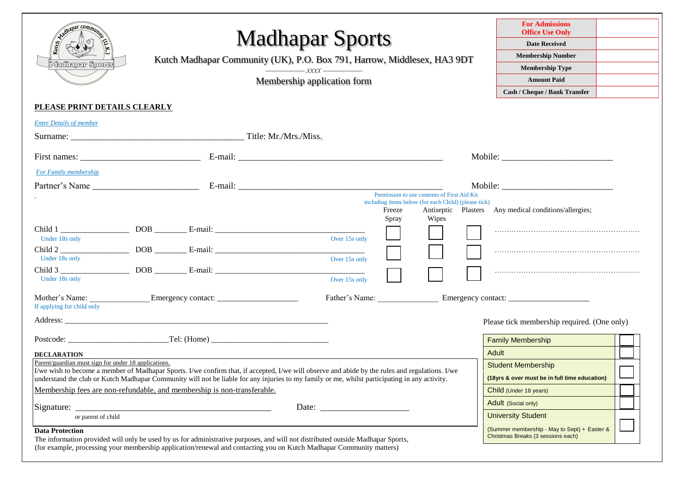| Ahapar commu<br>Madhapar Sports                      | <b>Madhapar Sports</b><br>Kutch Madhapar Community (UK), P.O. Box 791, Harrow, Middlesex, HA3 9DT<br>$\overbrace{\qquad \qquad }$ $\qquad \qquad$ $\qquad \qquad$ $\qquad \qquad$ $\qquad \qquad$ $\qquad \qquad$ $\qquad \qquad$ $\qquad \qquad$ $\qquad \qquad$ $\qquad \qquad$ $\qquad \qquad$ $\qquad \qquad$ $\qquad \qquad$ $\qquad \qquad$ $\qquad \qquad$ $\qquad \qquad$ $\qquad \qquad$ $\qquad \qquad$ $\qquad \qquad$ $\qquad \qquad$ $\qquad \qquad$ $\qquad \qquad$ $\qquad \qquad$ $\qquad \qquad$<br>Membership application form |                                                                    |                                                                                                              | <b>For Admissions</b><br><b>Office Use Only</b><br><b>Date Received</b><br><b>Membership Number</b><br><b>Membership Type</b><br><b>Amount Paid</b><br>Cash / Cheque / Bank Transfer |  |
|------------------------------------------------------|--------------------------------------------------------------------------------------------------------------------------------------------------------------------------------------------------------------------------------------------------------------------------------------------------------------------------------------------------------------------------------------------------------------------------------------------------------------------------------------------------------------------------------------------------|--------------------------------------------------------------------|--------------------------------------------------------------------------------------------------------------|--------------------------------------------------------------------------------------------------------------------------------------------------------------------------------------|--|
| PLEASE PRINT DETAILS CLEARLY                         |                                                                                                                                                                                                                                                                                                                                                                                                                                                                                                                                                  |                                                                    |                                                                                                              |                                                                                                                                                                                      |  |
| <b>Enter Details of member</b>                       |                                                                                                                                                                                                                                                                                                                                                                                                                                                                                                                                                  |                                                                    |                                                                                                              |                                                                                                                                                                                      |  |
|                                                      |                                                                                                                                                                                                                                                                                                                                                                                                                                                                                                                                                  |                                                                    |                                                                                                              |                                                                                                                                                                                      |  |
|                                                      |                                                                                                                                                                                                                                                                                                                                                                                                                                                                                                                                                  |                                                                    |                                                                                                              |                                                                                                                                                                                      |  |
| For Family membership                                |                                                                                                                                                                                                                                                                                                                                                                                                                                                                                                                                                  |                                                                    |                                                                                                              |                                                                                                                                                                                      |  |
|                                                      |                                                                                                                                                                                                                                                                                                                                                                                                                                                                                                                                                  |                                                                    |                                                                                                              |                                                                                                                                                                                      |  |
| Under 18s only<br>Under 18s only<br>Under 18s only   |                                                                                                                                                                                                                                                                                                                                                                                                                                                                                                                                                  | Freeze<br>Spray<br>Over 15s only<br>Over 15s only<br>Over 15s only | Permission to use contents of First Aid Kit<br>including items below (for each Child) (please tick)<br>Wipes | Antiseptic Plasters Any medical conditions/allergies;                                                                                                                                |  |
| If applying for child only                           |                                                                                                                                                                                                                                                                                                                                                                                                                                                                                                                                                  | Father's Name:                                                     |                                                                                                              |                                                                                                                                                                                      |  |
|                                                      |                                                                                                                                                                                                                                                                                                                                                                                                                                                                                                                                                  |                                                                    |                                                                                                              | Please tick membership required. (One only)                                                                                                                                          |  |
|                                                      | Postcode: Tel: (Home)                                                                                                                                                                                                                                                                                                                                                                                                                                                                                                                            |                                                                    |                                                                                                              | <b>Family Membership</b>                                                                                                                                                             |  |
| <b>DECLARATION</b>                                   |                                                                                                                                                                                                                                                                                                                                                                                                                                                                                                                                                  |                                                                    |                                                                                                              | Adult                                                                                                                                                                                |  |
| Parent/guardian must sign for under 18 applications. | I/we wish to become a member of Madhapar Sports. I/we confirm that, if accepted, I/we will observe and abide by the rules and regulations. I/we<br>understand the club or Kutch Madhapar Community will not be liable for any injuries to my family or me, whilst participating in any activity.<br>Membership fees are non-refundable, and membership is non-transferable.                                                                                                                                                                      |                                                                    |                                                                                                              | <b>Student Membership</b><br>(18yrs & over must be in full time education)<br>Child (Under 18 years)<br>Adult (Social only)                                                          |  |
| or parent of child                                   |                                                                                                                                                                                                                                                                                                                                                                                                                                                                                                                                                  |                                                                    |                                                                                                              | <b>University Student</b>                                                                                                                                                            |  |
| <b>Data Protection</b>                               | The information provided will only be used by us for administrative purposes, and will not distributed outside Madhapar Sports,<br>(for example, processing your membership application/renewal and contacting you on Kutch Madhapar Community matters)                                                                                                                                                                                                                                                                                          |                                                                    |                                                                                                              | (Summer membership - May to Sept) + Easter &<br>Christmas Breaks (3 sessions each)                                                                                                   |  |